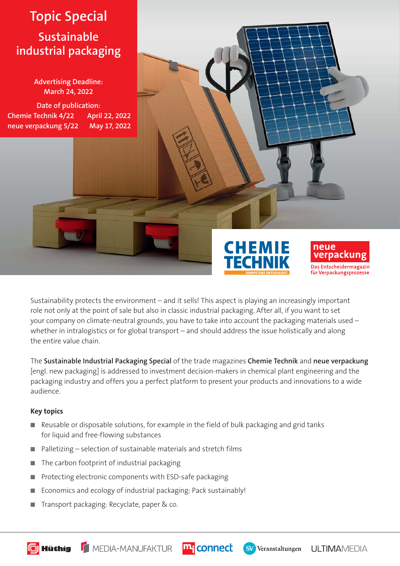# **Topic Special Sustainable industrial packaging**

**Advertising Deadline: March 24, 2022**

**Date of publication: Chemie Technik 4/22 April 22, 2022 neue verpackung 5/22 May 17, 2022**





Sustainability protects the environment – and it sells! This aspect is playing an increasingly important role not only at the point of sale but also in classic industrial packaging. After all, if you want to set your company on climate-neutral grounds, you have to take into account the packaging materials used – whether in intralogistics or for global transport – and should address the issue holistically and along the entire value chain.

The **Sustainable Industrial Packaging Special** of the trade magazines **Chemie Technik** and **neue verpackung** [engl. new packaging] is addressed to investment decision-makers in chemical plant engineering and the packaging industry and offers you a perfect platform to present your products and innovations to a wide audience.

#### **Key topics**

- Reusable or disposable solutions, for example in the field of bulk packaging and grid tanks for liquid and free-flowing substances
- Palletizing selection of sustainable materials and stretch films
- The carbon footprint of industrial packaging
- Protecting electronic components with ESD-safe packaging
- Economics and ecology of industrial packaging: Pack sustainably!
- Transport packaging: Recyclate, paper & co.

MEDIA-MANUFAKTUR m<sup>q</sup>connect